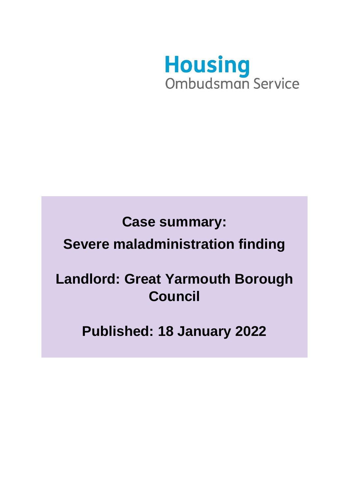

# **Case summary: Severe maladministration finding**

## **Landlord: Great Yarmouth Borough Council**

**Published: 18 January 2022**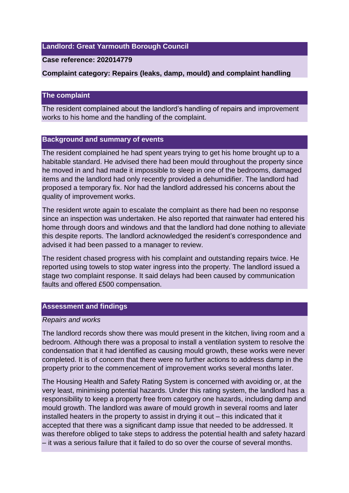#### **Landlord: Great Yarmouth Borough Council**

#### **Case reference: 202014779**

#### **Complaint category: Repairs (leaks, damp, mould) and complaint handling**

#### **The complaint**

The resident complained about the landlord's handling of repairs and improvement works to his home and the handling of the complaint.

#### **Background and summary of events**

The resident complained he had spent years trying to get his home brought up to a habitable standard. He advised there had been mould throughout the property since he moved in and had made it impossible to sleep in one of the bedrooms, damaged items and the landlord had only recently provided a dehumidifier. The landlord had proposed a temporary fix. Nor had the landlord addressed his concerns about the quality of improvement works.

The resident wrote again to escalate the complaint as there had been no response since an inspection was undertaken. He also reported that rainwater had entered his home through doors and windows and that the landlord had done nothing to alleviate this despite reports. The landlord acknowledged the resident's correspondence and advised it had been passed to a manager to review.

The resident chased progress with his complaint and outstanding repairs twice. He reported using towels to stop water ingress into the property. The landlord issued a stage two complaint response. It said delays had been caused by communication faults and offered £500 compensation.

#### **Assessment and findings**

#### *Repairs and works*

The landlord records show there was mould present in the kitchen, living room and a bedroom. Although there was a proposal to install a ventilation system to resolve the condensation that it had identified as causing mould growth, these works were never completed. It is of concern that there were no further actions to address damp in the property prior to the commencement of improvement works several months later.

The Housing Health and Safety Rating System is concerned with avoiding or, at the very least, minimising potential hazards. Under this rating system, the landlord has a responsibility to keep a property free from category one hazards, including damp and mould growth. The landlord was aware of mould growth in several rooms and later installed heaters in the property to assist in drying it out – this indicated that it accepted that there was a significant damp issue that needed to be addressed. It was therefore obliged to take steps to address the potential health and safety hazard – it was a serious failure that it failed to do so over the course of several months.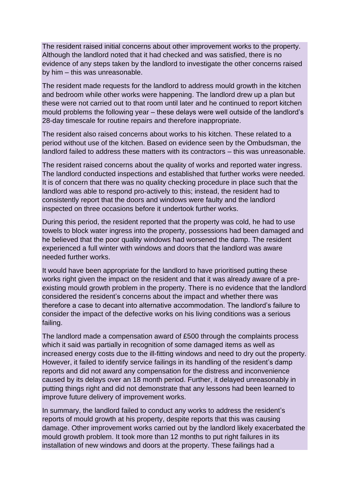The resident raised initial concerns about other improvement works to the property. Although the landlord noted that it had checked and was satisfied, there is no evidence of any steps taken by the landlord to investigate the other concerns raised by him – this was unreasonable.

The resident made requests for the landlord to address mould growth in the kitchen and bedroom while other works were happening. The landlord drew up a plan but these were not carried out to that room until later and he continued to report kitchen mould problems the following year – these delays were well outside of the landlord's 28-day timescale for routine repairs and therefore inappropriate.

The resident also raised concerns about works to his kitchen. These related to a period without use of the kitchen. Based on evidence seen by the Ombudsman, the landlord failed to address these matters with its contractors – this was unreasonable.

The resident raised concerns about the quality of works and reported water ingress. The landlord conducted inspections and established that further works were needed. It is of concern that there was no quality checking procedure in place such that the landlord was able to respond pro-actively to this; instead, the resident had to consistently report that the doors and windows were faulty and the landlord inspected on three occasions before it undertook further works.

During this period, the resident reported that the property was cold, he had to use towels to block water ingress into the property, possessions had been damaged and he believed that the poor quality windows had worsened the damp. The resident experienced a full winter with windows and doors that the landlord was aware needed further works.

It would have been appropriate for the landlord to have prioritised putting these works right given the impact on the resident and that it was already aware of a preexisting mould growth problem in the property. There is no evidence that the landlord considered the resident's concerns about the impact and whether there was therefore a case to decant into alternative accommodation. The landlord's failure to consider the impact of the defective works on his living conditions was a serious failing.

The landlord made a compensation award of £500 through the complaints process which it said was partially in recognition of some damaged items as well as increased energy costs due to the ill-fitting windows and need to dry out the property. However, it failed to identify service failings in its handling of the resident's damp reports and did not award any compensation for the distress and inconvenience caused by its delays over an 18 month period. Further, it delayed unreasonably in putting things right and did not demonstrate that any lessons had been learned to improve future delivery of improvement works.

In summary, the landlord failed to conduct any works to address the resident's reports of mould growth at his property, despite reports that this was causing damage. Other improvement works carried out by the landlord likely exacerbated the mould growth problem. It took more than 12 months to put right failures in its installation of new windows and doors at the property. These failings had a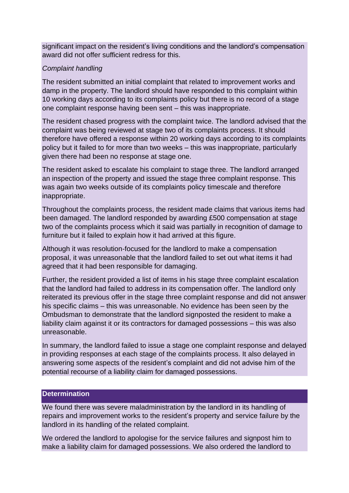significant impact on the resident's living conditions and the landlord's compensation award did not offer sufficient redress for this.

### *Complaint handling*

The resident submitted an initial complaint that related to improvement works and damp in the property. The landlord should have responded to this complaint within 10 working days according to its complaints policy but there is no record of a stage one complaint response having been sent – this was inappropriate.

The resident chased progress with the complaint twice. The landlord advised that the complaint was being reviewed at stage two of its complaints process. It should therefore have offered a response within 20 working days according to its complaints policy but it failed to for more than two weeks – this was inappropriate, particularly given there had been no response at stage one.

The resident asked to escalate his complaint to stage three. The landlord arranged an inspection of the property and issued the stage three complaint response. This was again two weeks outside of its complaints policy timescale and therefore inappropriate.

Throughout the complaints process, the resident made claims that various items had been damaged. The landlord responded by awarding £500 compensation at stage two of the complaints process which it said was partially in recognition of damage to furniture but it failed to explain how it had arrived at this figure.

Although it was resolution-focused for the landlord to make a compensation proposal, it was unreasonable that the landlord failed to set out what items it had agreed that it had been responsible for damaging.

Further, the resident provided a list of items in his stage three complaint escalation that the landlord had failed to address in its compensation offer. The landlord only reiterated its previous offer in the stage three complaint response and did not answer his specific claims – this was unreasonable. No evidence has been seen by the Ombudsman to demonstrate that the landlord signposted the resident to make a liability claim against it or its contractors for damaged possessions – this was also unreasonable.

In summary, the landlord failed to issue a stage one complaint response and delayed in providing responses at each stage of the complaints process. It also delayed in answering some aspects of the resident's complaint and did not advise him of the potential recourse of a liability claim for damaged possessions.

#### **Determination**

We found there was severe maladministration by the landlord in its handling of repairs and improvement works to the resident's property and service failure by the landlord in its handling of the related complaint.

We ordered the landlord to apologise for the service failures and signpost him to make a liability claim for damaged possessions. We also ordered the landlord to